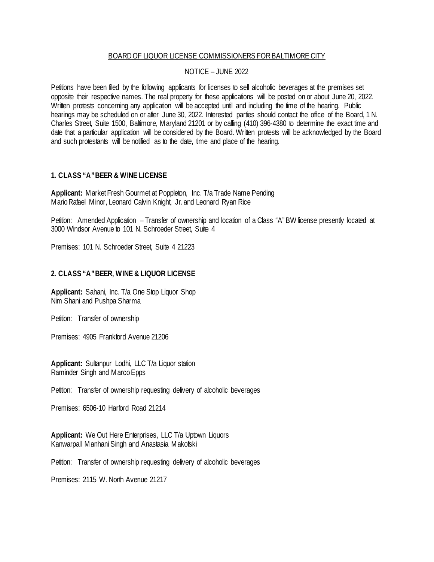### BOARD OF LIQUOR LICENSE COMMISSIONERS FOR BALTIMORE CITY

## NOTICE – JUNE 2022

Petitions have been filed by the following applicants for licenses to sell alcoholic beverages at the premises set opposite their respective names. The real property for these applications will be posted on or about June 20, 2022. Written protests concerning any application will be accepted until and including the time of the hearing. Public hearings may be scheduled on or after June 30, 2022. Interested parties should contact the office of the Board, 1 N. Charles Street, Suite 1500, Baltimore, Maryland 21201 or by calling (410) 396-4380 to determine the exact time and date that a particular application will be considered by the Board. Written protests will be acknowledged by the Board and such protestants will be notified as to the date, time and place of the hearing.

# **1. CLASS "A" BEER & WINE LICENSE**

**Applicant:** Market Fresh Gourmet at Poppleton, Inc. T/a Trade Name Pending Mario Rafael Minor, Leonard Calvin Knight, Jr. and Leonard Ryan Rice

Petition: Amended Application – Transfer of ownership and location of a Class "A" BW license presently located at 3000 Windsor Avenue to 101 N. Schroeder Street, Suite 4

Premises: 101 N. Schroeder Street, Suite 4 21223

## **2. CLASS "A" BEER, WINE & LIQUOR LICENSE**

**Applicant:** Sahani, Inc. T/a One Stop Liquor Shop Nim Shani and Pushpa Sharma

Petition: Transfer of ownership

Premises: 4905 Frankford Avenue 21206

**Applicant:** Sultanpur Lodhi, LLC T/a Liquor station Raminder Singh and Marco Epps

Petition: Transfer of ownership requesting delivery of alcoholic beverages

Premises: 6506-10 Harford Road 21214

**Applicant:** We Out Here Enterprises, LLC T/a Uptown Liquors Kanwarpall Manhani Singh and Anastasia Makofski

Petition: Transfer of ownership requesting delivery of alcoholic beverages

Premises: 2115 W. North Avenue 21217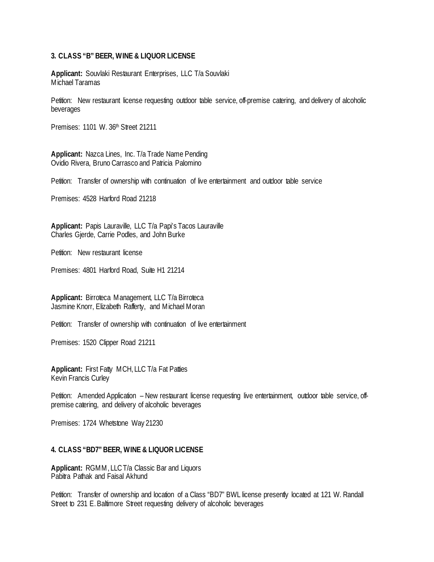#### **3. CLASS "B" BEER, WINE & LIQUOR LICENSE**

**Applicant:** Souvlaki Restaurant Enterprises, LLC T/a Souvlaki Michael Taramas

Petition: New restaurant license requesting outdoor table service, off-premise catering, and delivery of alcoholic beverages

Premises: 1101 W. 36th Street 21211

**Applicant:** Nazca Lines, Inc. T/a Trade Name Pending Ovidio Rivera, Bruno Carrasco and Patricia Palomino

Petition: Transfer of ownership with continuation of live entertainment and outdoor table service

Premises: 4528 Harford Road 21218

**Applicant:** Papis Lauraville, LLC T/a Papi's Tacos Lauraville Charles Gjerde, Carrie Podles, and John Burke

Petition: New restaurant license

Premises: 4801 Harford Road, Suite H1 21214

**Applicant:** Birroteca Management, LLC T/a Birroteca Jasmine Knorr, Elizabeth Rafferty, and Michael Moran

Petition: Transfer of ownership with continuation of live entertainment

Premises: 1520 Clipper Road 21211

**Applicant:** First Fatty MCH, LLC T/a Fat Patties Kevin Francis Curley

Petition: Amended Application – New restaurant license requesting live entertainment, outdoor table service, offpremise catering, and delivery of alcoholic beverages

Premises: 1724 Whetstone Way 21230

#### **4. CLASS "BD7" BEER, WINE & LIQUOR LICENSE**

**Applicant:** RGMM, LLCT/a Classic Bar and Liquors Pabitra Pathak and Faisal Akhund

Petition: Transfer of ownership and location of a Class "BD7" BWL license presently located at 121 W. Randall Street to 231 E. Baltimore Street requesting delivery of alcoholic beverages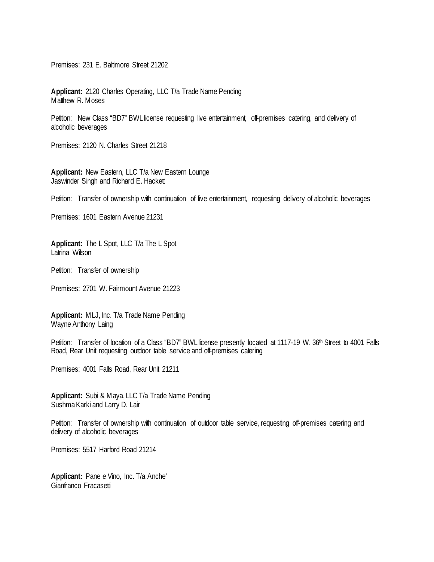Premises: 231 E. Baltimore Street 21202

**Applicant:** 2120 Charles Operating, LLC T/a Trade Name Pending Matthew R. Moses

Petition: New Class "BD7" BWL license requesting live entertainment, off-premises catering, and delivery of alcoholic beverages

Premises: 2120 N. Charles Street 21218

**Applicant:** New Eastern, LLC T/a New Eastern Lounge Jaswinder Singh and Richard E. Hackett

Petition: Transfer of ownership with continuation of live entertainment, requesting delivery of alcoholic beverages

Premises: 1601 Eastern Avenue 21231

**Applicant:** The L Spot, LLC T/a The L Spot Latrina Wilson

Petition: Transfer of ownership

Premises: 2701 W. Fairmount Avenue 21223

**Applicant:** MLJ, Inc. T/a Trade Name Pending Wayne Anthony Laing

Petition: Transfer of location of a Class "BD7" BWL license presently located at 1117-19 W. 36<sup>th</sup> Street to 4001 Falls Road, Rear Unit requesting outdoor table service and off-premises catering

Premises: 4001 Falls Road, Rear Unit 21211

**Applicant:** Subi & Maya, LLC T/a Trade Name Pending Sushma Karki and Larry D. Lair

Petition: Transfer of ownership with continuation of outdoor table service, requesting off-premises catering and delivery of alcoholic beverages

Premises: 5517 Harford Road 21214

**Applicant:** Pane e Vino, Inc. T/a Anche' Gianfranco Fracasetti